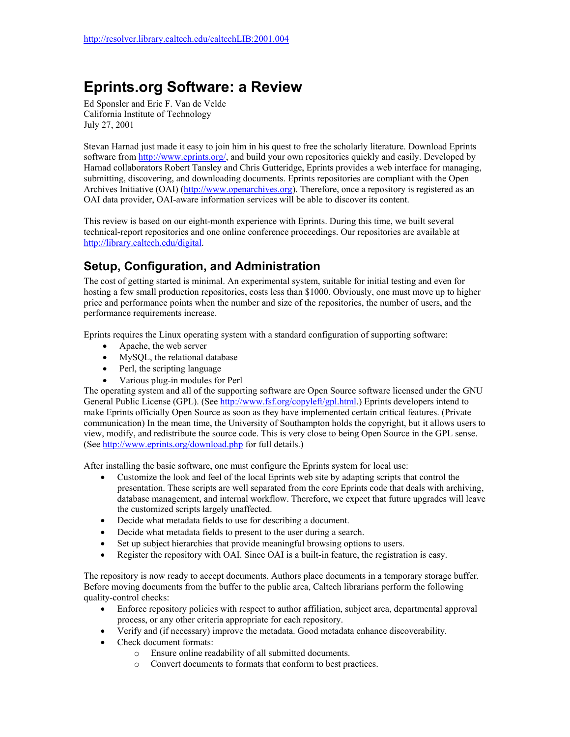## **Eprints.org Software: a Review**

Ed Sponsler and Eric F. Van de Velde California Institute of Technology July 27, 2001

Stevan Harnad just made it easy to join him in his quest to free the scholarly literature. Download Eprints software from [http://www.eprints.org/,](http://www.eprints.org/) and build your own repositories quickly and easily. Developed by Harnad collaborators Robert Tansley and Chris Gutteridge, Eprints provides a web interface for managing, submitting, discovering, and downloading documents. Eprints repositories are compliant with the Open Archives Initiative (OAI) [\(http://www.openarchives.org](http://www.openarchives.org/)). Therefore, once a repository is registered as an OAI data provider, OAI-aware information services will be able to discover its content.

This review is based on our eight-month experience with Eprints. During this time, we built several technical-report repositories and one online conference proceedings. Our repositories are available at [http://library.caltech.edu/digital.](http://library.caltech.edu/digital)

## **Setup, Configuration, and Administration**

The cost of getting started is minimal. An experimental system, suitable for initial testing and even for hosting a few small production repositories, costs less than \$1000. Obviously, one must move up to higher price and performance points when the number and size of the repositories, the number of users, and the performance requirements increase.

Eprints requires the Linux operating system with a standard configuration of supporting software:

- Apache, the web server
- MySQL, the relational database
- Perl, the scripting language
- Various plug-in modules for Perl

The operating system and all of the supporting software are Open Source software licensed under the GNU General Public License (GPL). (See [http://www.fsf.org/copyleft/gpl.html.](http://www.fsf.org/copyleft/gpl.html)) Eprints developers intend to make Eprints officially Open Source as soon as they have implemented certain critical features. (Private communication) In the mean time, the University of Southampton holds the copyright, but it allows users to view, modify, and redistribute the source code. This is very close to being Open Source in the GPL sense. (See<http://www.eprints.org/download.php> for full details.)

After installing the basic software, one must configure the Eprints system for local use:

- Customize the look and feel of the local Eprints web site by adapting scripts that control the presentation. These scripts are well separated from the core Eprints code that deals with archiving, database management, and internal workflow. Therefore, we expect that future upgrades will leave the customized scripts largely unaffected.
- Decide what metadata fields to use for describing a document.
- Decide what metadata fields to present to the user during a search.
- Set up subject hierarchies that provide meaningful browsing options to users.
- Register the repository with OAI. Since OAI is a built-in feature, the registration is easy.

The repository is now ready to accept documents. Authors place documents in a temporary storage buffer. Before moving documents from the buffer to the public area, Caltech librarians perform the following quality-control checks:

- Enforce repository policies with respect to author affiliation, subject area, departmental approval process, or any other criteria appropriate for each repository.
- Verify and (if necessary) improve the metadata. Good metadata enhance discoverability.
- Check document formats:
	- o Ensure online readability of all submitted documents.
	- o Convert documents to formats that conform to best practices.